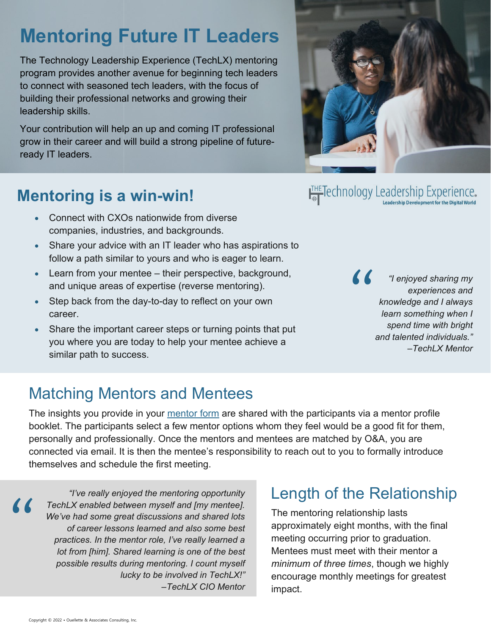## **Mentoring Future IT Leaders**

The Technology Leadership Experience (TechLX) mentoring program provides another avenue for beginning tech leaders to connect with seasoned tech leaders, with the focus of building their professional networks and growing their leadership skills.

Your contribution will help an up and coming IT professional grow in their career and will build a strong pipeline of futureready IT leaders.

#### **Mentoring is a win-win!**

- Connect with CXOs nationwide from diverse companies, industries, and backgrounds.
- Share your advice with an IT leader who has aspirations to follow a path similar to yours and who is eager to learn.
- Learn from your mentee their perspective, background, and unique areas of expertise (reverse mentoring).
- Step back from the day-to-day to reflect on your own career.
- Share the important career steps or turning points that put you where you are today to help your mentee achieve a similar path to success.

THE Technology Leadership Experience.

*"I enjoyed sharing my experiences and knowledge and I always learn something when I spend time with bright and talented individuals."* –*TechLX Mentor* "

### Matching Mentors and Mentees

The insights you provide in your [mentor form](https://thetechlx.com/virtual1-mentor/) are shared with the participants via a mentor profile booklet. The participants select a few mentor options whom they feel would be a good fit for them, personally and professionally. Once the mentors and mentees are matched by O&A, you are connected via email. It is then the mentee's responsibility to reach out to you to formally introduce themselves and schedule the first meeting.

*"I've really enjoyed the mentoring opportunity TechLX enabled between myself and [my mentee]. We've had some great discussions and shared lots of career lessons learned and also some best practices. In the mentor role, I've really learned a lot from [him]. Shared learning is one of the best possible results during mentoring. I count myself lucky to be involved in TechLX!"*  –*TechLX CIO Mentor*

#### Length of the Relationship

The mentoring relationship lasts approximately eight months, with the final meeting occurring prior to graduation. Mentees must meet with their mentor a *minimum of three times*, though we highly encourage monthly meetings for greatest impact.

 $\prime\prime$ 

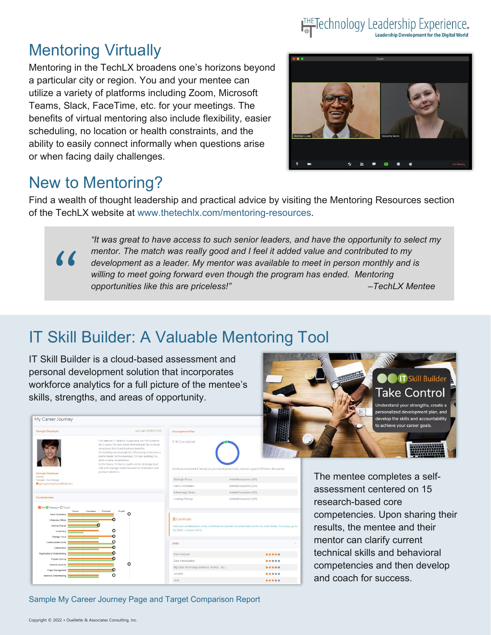#### THE Technology Leadership Experience. Leadership Development for the Digital World

#### Mentoring Virtually

Mentoring in the TechLX broadens one's horizons beyond a particular city or region. You and your mentee can utilize a variety of platforms including Zoom, Microsoft Teams, Slack, FaceTime, etc. for your meetings. The benefits of virtual mentoring also include flexibility, easier scheduling, no location or health constraints, and the ability to easily connect informally when questions arise or when facing daily challenges.



#### New to Mentoring?

"

Find a wealth of thought leadership and practical advice by visiting the Mentoring Resources section of the TechLX website at [www.thetechlx.com/mentoring-resources.](http://www.thetechlx.com/mentoring-resources)

> *"It was great to have access to such senior leaders, and have the opportunity to select my mentor. The match was really good and I feel it added value and contributed to my development as a leader. My mentor was available to meet in person monthly and is willing to meet going forward even though the program has ended. Mentoring opportunities like this are priceless!" –TechLX Mentee*

### IT Skill Builder: A Valuable Mentoring Tool

IT Skill Builder is a cloud-based assessment and personal development solution that incorporates workforce analytics for a full picture of the mentee's skills, strengths, and areas of opportunity.

| Georgia Employee                                                                                                              | Last Login: 01/08/20 13:03                                                                                                                                                                                                                                                                                | <b>Development Plan</b>                                             |                                                                                                               |       |
|-------------------------------------------------------------------------------------------------------------------------------|-----------------------------------------------------------------------------------------------------------------------------------------------------------------------------------------------------------------------------------------------------------------------------------------------------------|---------------------------------------------------------------------|---------------------------------------------------------------------------------------------------------------|-------|
|                                                                                                                               | I've been an IT director supporting our HR systems<br>for 2 years. I'm very detail oriented and like to focus<br>on metrics that track business benefits.<br>I'm building my strengths in influencing to become a<br>better leader to the business. I'm also building my<br>skills in data visualization. | 5 % Completed                                                       |                                                                                                               |       |
| Georgia Employee                                                                                                              | In the future, I'd like to reach a more strategic level<br>role and manage teams focused on innovation and<br>product solutions.                                                                                                                                                                          |                                                                     | You have completed 1 item(s) on your development plan, toward a goal of 20 items this period.                 |       |
| Director<br>Manager: Tara Manager                                                                                             |                                                                                                                                                                                                                                                                                                           | Strategic Focus                                                     | Added/Completed (1/0)                                                                                         |       |
| georgia.employee@itsb.com                                                                                                     |                                                                                                                                                                                                                                                                                                           | Client Orientation                                                  | Added/Completed (3/1)                                                                                         |       |
|                                                                                                                               |                                                                                                                                                                                                                                                                                                           | Influencing Others                                                  | Added/Completed (1/0)                                                                                         |       |
| Competencies                                                                                                                  |                                                                                                                                                                                                                                                                                                           |                                                                     |                                                                                                               |       |
|                                                                                                                               |                                                                                                                                                                                                                                                                                                           | Leading Change                                                      | Added/Completed (1/0)                                                                                         |       |
| Novice<br>Client Orientation<br>Influencing Others<br>Leading Change<br>Leadership<br>Strategic Focus<br>Communication Skills | Competent<br>Proficient<br>Expert<br>n<br>c<br>C                                                                                                                                                                                                                                                          | <b>Q</b> Certificate<br>My Skills > Update Skills,<br><b>Skills</b> | Add your certifications in the Certifications Earned/ Awarded field on the My Skill Profile. To access, go to |       |
| Collaboration                                                                                                                 |                                                                                                                                                                                                                                                                                                           |                                                                     |                                                                                                               | ***** |
| Problem Solving                                                                                                               |                                                                                                                                                                                                                                                                                                           | Data Analysis<br>Data Visualization                                 |                                                                                                               | ***** |
| <b>Business Acumen</b>                                                                                                        | Ω                                                                                                                                                                                                                                                                                                         | Big Data Technology (Hadoop, NoSQL, etc.)                           |                                                                                                               | ***** |
| Self Manager O Target<br>Organizational Understanding<br>Project Management<br>Technical Understanding                        | Ω                                                                                                                                                                                                                                                                                                         | JavaME                                                              |                                                                                                               | ***** |



The mentee completes a selfassessment centered on 15 research-based core competencies. Upon sharing their results, the mentee and their mentor can clarify current technical skills and behavioral competencies and then develop and coach for success.

Sample My Career Journey Page and Target Comparison Report